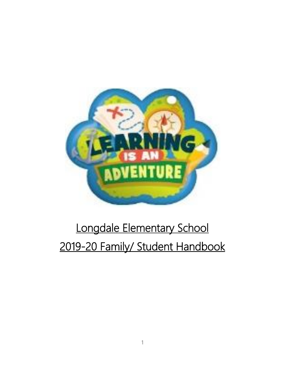

# Longdale Elementary School 2019-20 Family/ Student Handbook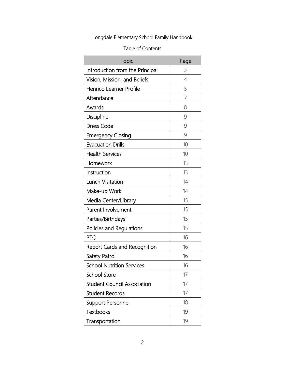## Longdale Elementary School Family Handbook

#### Table of Contents

| Topic                               | Page           |
|-------------------------------------|----------------|
| Introduction from the Principal     | 3              |
| Vision, Mission, and Beliefs        | $\overline{4}$ |
| Henrico Learner Profile             | 5              |
| Attendance                          | $\overline{7}$ |
| Awards                              | 8              |
| Discipline                          | 9              |
| <b>Dress Code</b>                   | 9              |
| <b>Emergency Closing</b>            | 9              |
| <b>Evacuation Drills</b>            | 10             |
| <b>Health Services</b>              | 10             |
| Homework                            | 13             |
| Instruction                         | 13             |
| Lunch Visitation                    | 14             |
| Make-up Work                        | 14             |
| Media Center/Library                | 15             |
| Parent Involvement                  | 15             |
| Parties/Birthdays                   | 15             |
| Policies and Regulations            | 15             |
| <b>PTO</b>                          | 16             |
| <b>Report Cards and Recognition</b> | 16             |
| Safety Patrol                       | 16             |
| <b>School Nutrition Services</b>    | 16             |
| <b>School Store</b>                 | 17             |
| <b>Student Council Association</b>  | 17             |
| <b>Student Records</b>              | 17             |
| <b>Support Personnel</b>            | 18             |
| <b>Textbooks</b>                    | 19             |
| Transportation                      | 19             |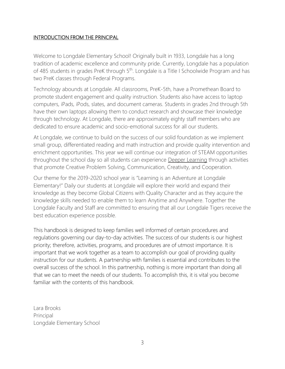#### INTRODUCTION FROM THE PRINCIPAL

Welcome to Longdale Elementary School! Originally built in 1933, Longdale has a long tradition of academic excellence and community pride. Currently, Longdale has a population of 485 students in grades PreK through 5<sup>th</sup>. Longdale is a Title I Schoolwide Program and has two PreK classes through Federal Programs.

Technology abounds at Longdale. All classrooms, PreK-5th, have a Promethean Board to promote student engagement and quality instruction. Students also have access to laptop computers, iPads, iPods, slates, and document cameras. Students in grades 2nd through 5th have their own laptops allowing them to conduct research and showcase their knowledge through technology. At Longdale, there are approximately eighty staff members who are dedicated to ensure academic and socio-emotional success for all our students.

At Longdale, we continue to build on the success of our solid foundation as we implement small group, differentiated reading and math instruction and provide quality intervention and enrichment opportunities. This year we will continue our integration of STEAM opportunities throughout the school day so all students can experience Deeper Learning through activities that promote Creative Problem Solving, Communication, Creativity, and Cooperation.

Our theme for the 2019-2020 school year is "Learning is an Adventure at Longdale Elementary!" Daily our students at Longdale will explore their world and expand their knowledge as they become Global Citizens with Quality Character and as they acquire the knowledge skills needed to enable them to learn Anytime and Anywhere. Together the Longdale Faculty and Staff are committed to ensuring that all our Longdale Tigers receive the best education experience possible.

This handbook is designed to keep families well informed of certain procedures and regulations governing our day-to-day activities. The success of our students is our highest priority; therefore, activities, programs, and procedures are of utmost importance. It is important that we work together as a team to accomplish our goal of providing quality instruction for our students. A partnership with families is essential and contributes to the overall success of the school. In this partnership, nothing is more important than doing all that we can to meet the needs of our students. To accomplish this, it is vital you become familiar with the contents of this handbook.

Lara Brooks Principal Longdale Elementary School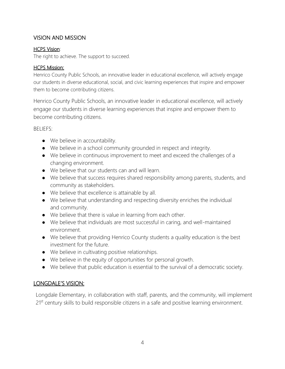## VISION AND MISSION

#### HCPS Vision:

The right to achieve. The support to succeed.

#### HCPS Mission:

Henrico County Public Schools, an innovative leader in educational excellence, will actively engage our students in diverse educational, social, and civic learning experiences that inspire and empower them to become contributing citizens.

Henrico County Public Schools, an innovative leader in educational excellence, will actively engage our students in diverse learning experiences that inspire and empower them to become contributing citizens.

#### BELIEFS:

- We believe in accountability.
- We believe in a school community grounded in respect and integrity.
- We believe in continuous improvement to meet and exceed the challenges of a changing environment.
- We believe that our students can and will learn.
- We believe that success requires shared responsibility among parents, students, and community as stakeholders.
- We believe that excellence is attainable by all.
- We believe that understanding and respecting diversity enriches the individual and community.
- We believe that there is value in learning from each other.
- We believe that individuals are most successful in caring, and well-maintained environment.
- We believe that providing Henrico County students a quality education is the best investment for the future.
- We believe in cultivating positive relationships.
- We believe in the equity of opportunities for personal growth.
- We believe that public education is essential to the survival of a democratic society.

## LONGDALE'S VISION:

Longdale Elementary, in collaboration with staff, parents, and the community, will implement 21<sup>st</sup> century skills to build responsible citizens in a safe and positive learning environment.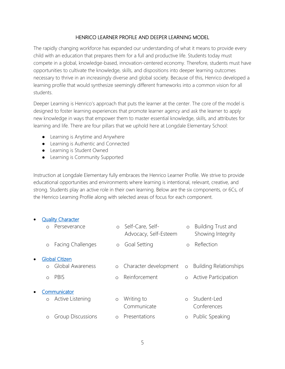#### HENRICO LEARNER PROFILE AND DEEPER LEARNING MODEL

The rapidly changing workforce has expanded our understanding of what it means to provide every child with an education that prepares them for a full and productive life. Students today must compete in a global, knowledge-based, innovation-centered economy. Therefore, students must have opportunities to cultivate the knowledge, skills, and dispositions into deeper learning outcomes necessary to thrive in an increasingly diverse and global society. Because of this, Henrico developed a learning profile that would synthesize seemingly different frameworks into a common vision for all students.

Deeper Learning is Henrico's approach that puts the learner at the center. The core of the model is designed to foster learning experiences that promote learner agency and ask the learner to apply new knowledge in ways that empower them to master essential knowledge, skills, and attributes for learning and life. There are four pillars that we uphold here at Longdale Elementary School:

- Learning is Anytime and Anywhere
- Learning is Authentic and Connected
- Learning is Student Owned
- Learning is Community Supported

Instruction at Longdale Elementary fully embraces the Henrico Learner Profile. We strive to provide educational opportunities and environments where learning is intentional, relevant, creative, and strong. Students play an active role in their own learning. Below are the six components, or 6Cs, of the Henrico Learning Profile along with selected areas of focus for each component.

#### **Quality Character**

|                           |            | Perseverance             | $\circ$ | Self-Care, Self-<br>Advocacy, Self-Esteem | $\circ$    | Building Trust and<br>Showing Integrity |  |
|---------------------------|------------|--------------------------|---------|-------------------------------------------|------------|-----------------------------------------|--|
|                           | $\circ$    | <b>Facing Challenges</b> | $\circ$ | Goal Setting                              | $\bigcirc$ | Reflection                              |  |
| $\bullet$                 |            | <b>Global Citizen</b>    |         |                                           |            |                                         |  |
|                           | $\circ$    | Global Awareness         |         | o Character development                   | $\circ$    | <b>Building Relationships</b>           |  |
|                           | $\bigcirc$ | PBIS                     | $\circ$ | Reinforcement                             | $\circ$    | <b>Active Participation</b>             |  |
| Communicator<br>$\bullet$ |            |                          |         |                                           |            |                                         |  |
|                           | $\circ$    | Active Listening         | $\circ$ | Writing to<br>Communicate                 | $\Omega$   | Student-Led<br>Conferences              |  |
|                           | $\circ$    | <b>Group Discussions</b> | $\circ$ | Presentations                             | $\circ$    | Public Speaking                         |  |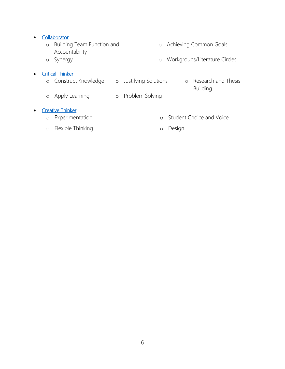#### • [Collaborator](https://docs.google.com/document/d/1Q1PS__pKoHvnKRMuujuahvKexgfV1nZhI-dmihGJrPI/preview)

o Building Team Function and Accountability o Achieving Common Goals o Synergy o Workgroups/Literature Circles

#### • [Critical Thinker](https://docs.google.com/document/d/1XjaEDEWTVa76EocSCunKVp5doi94V2cWXforhFVM_6I/preview)

- o Construct Knowledge o Justifying Solutions o Research and Thesis
	- Building
- o Apply Learning o Problem Solving

#### • [Creative Thinker](https://docs.google.com/document/d/1wYogUS2MsMpiHOUM8wicFfjyTeOVY2g9MZEO1AOG5fY/preview)

- o Experimentation o Student Choice and Voice
- o Flexible Thinking o Design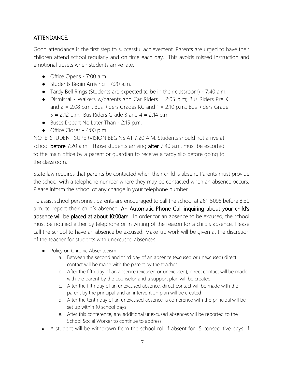## ATTENDANCE:

Good attendance is the first step to successful achievement. Parents are urged to have their children attend school regularly and on time each day. This avoids missed instruction and emotional upsets when students arrive late.

- Office Opens 7:00 a.m.
- Students Begin Arriving 7:20 a.m.
- Tardy Bell Rings (Students are expected to be in their classroom) 7:40 a.m.
- Dismissal Walkers w/parents and Car Riders = 2:05 p.m; Bus Riders Pre K and  $2 = 2:08$  p.m;. Bus Riders Grades KG and  $1 = 2:10$  p.m.; Bus Riders Grade  $5 = 2:12$  p.m.; Bus Riders Grade 3 and  $4 = 2:14$  p.m.
- Buses Depart No Later Than 2:15 p.m.
- Office Closes 4:00 p.m.

NOTE: STUDENT SUPERVISION BEGINS AT 7:20 A.M. Students should not arrive at school before 7:20 a.m. Those students arriving after 7:40 a.m. must be escorted to the main office by a parent or guardian to receive a tardy slip before going to the classroom.

State law requires that parents be contacted when their child is absent. Parents must provide the school with a telephone number where they may be contacted when an absence occurs. Please inform the school of any change in your telephone number.

To assist school personnel, parents are encouraged to call the school at 261-5095 before 8:30 a.m. to report their child's absence. An Automatic Phone Call inquiring about your child's absence will be placed at about 10:00am. In order for an absence to be excused, the school must be notified either by telephone or in writing of the reason for a child's absence. Please call the school to have an absence be excused. Make-up work will be given at the discretion of the teacher for students with unexcused absences.

- Policy on Chronic Absenteeism:
	- a. Between the second and third day of an absence (excused or unexcused) direct contact will be made with the parent by the teacher
	- b. After the fifth day of an absence (excused or unexcused), direct contact will be made with the parent by the counselor and a support plan will be created
	- c. After the fifth day of an unexcused absence, direct contact will be made with the parent by the principal and an intervention plan will be created
	- d. After the tenth day of an unexcused absence, a conference with the principal will be set up within 10 school days
	- e. After this conference, any additional unexcused absences will be reported to the School Social Worker to continue to address.
- A student will be withdrawn from the school roll if absent for 15 consecutive days. If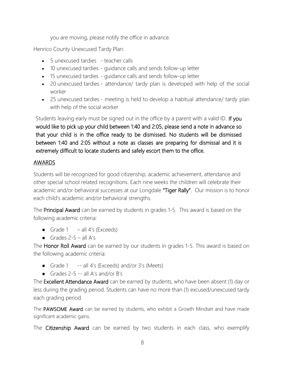you are moving, please notify the office in advance.

Henrico County Unexcused Tardy Plan:

- 5 unexcused tardies teacher calls
- 10 unexcused tardies guidance calls and sends follow-up letter
- 15 unexcused tardies guidance calls and sends follow-up letter
- 20 unexcused tardies attendance/ tardy plan is developed with help of the social worker
- 25 unexcused tardies meeting is held to develop a habitual attendance/ tardy plan with help of the social worker

Students leaving early must be signed out in the office by a parent with a valid ID. If you would like to pick up your child between 1:40 and 2:05, please send a note in advance so that your child is in the office ready to be dismissed. No students will be dismissed between 1:40 and 2:05 without a note as classes are preparing for dismissal and it is extremely difficult to locate students and safely escort them to the office.

### AWARDS

Students will be recognized for good citizenship, academic achievement, attendance and other special school related recognitions. Each nine weeks the children will celebrate their academic and/or behavioral successes at our Longdale "Tiger Rally". Our mission is to honor each child's academic and/or behavioral strengths.

The **Principal Award** can be earned by students in grades 1-5. This award is based on the following academic criteria:

- Grade  $1 -$ all  $4$ 's (Exceeds)
- Grades  $2-5 -$  all A's

The Honor Roll Award can be earned by our students in grades 1-5. This award is based on the following academic criteria:

- Grade 1 -- all 4's (Exceeds) and/or 3's (Meets)
- Grades  $2-5$  -- all A's and/or B's

The Excellent Attendance Award can be earned by students, who have been absent (1) day or less during the grading period. Students can have no more than (1) excused/unexcused tardy each grading period.

The PAWSOME Award can be earned by students, who exhibit a Growth Mindset and have made significant academic gains.

The Citizenship Award can be earned by two students in each class, who exemplify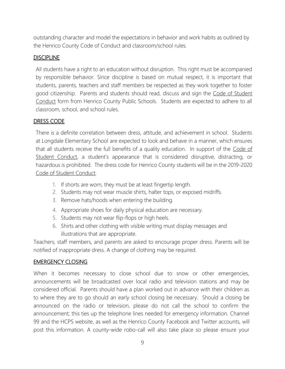outstanding character and model the expectations in behavior and work habits as outlined by the Henrico County Code of Conduct and classroom/school rules.

### **DISCIPLINE**

All students have a right to an education without disruption. This right must be accompanied by responsible behavior. Since discipline is based on mutual respect, it is important that students, parents, teachers and staff members be respected as they work together to foster good citizenship. Parents and students should read, discuss and sign the Code of Student Conduct form from Henrico County Public Schools. Students are expected to adhere to all classroom, school, and school rules.

## DRESS CODE

There is a definite correlation between dress, attitude, and achievement in school. Students at Longdale Elementary School are expected to look and behave in a manner, which ensures that all students receive the full benefits of a quality education. In support of the Code of Student Conduct, a student's appearance that is considered disruptive, distracting, or hazardous is prohibited. The dress code for Henrico County students will be in the 2019-2020 Code of Student Conduct.

- 1. If shorts are worn, they must be at least fingertip length.
- 2. Students may not wear muscle shirts, halter tops, or exposed midriffs.
- 3. Remove hats/hoods when entering the building.
- 4. Appropriate shoes for daily physical education are necessary.
- 5. Students may not wear flip-flops or high heels.
- 6. Shirts and other clothing with visible writing must display messages and illustrations that are appropriate.

Teachers, staff members, and parents are asked to encourage proper dress. Parents will be notified of inappropriate dress. A change of clothing may be required.

### EMERGENCY CLOSING

When it becomes necessary to close school due to snow or other emergencies, announcements will be broadcasted over local radio and television stations and may be considered official. Parents should have a plan worked out in advance with their children as to where they are to go should an early school closing be necessary. Should a closing be announced on the radio or television, please do not call the school to confirm the announcement; this ties up the telephone lines needed for emergency information. Channel 99 and the HCPS website, as well as the Henrico County Facebook and Twitter accounts, will post this information. A county-wide robo-call will also take place so please ensure your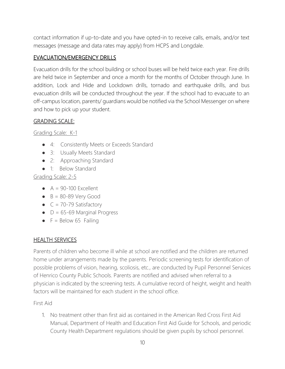contact information if up-to-date and you have opted-in to receive calls, emails, and/or text messages (message and data rates may apply) from HCPS and Longdale.

## EVACUATION/EMERGENCY DRILLS

Evacuation drills for the school building or school buses will be held twice each year. Fire drills are held twice in September and once a month for the months of October through June. In addition, Lock and Hide and Lockdown drills, tornado and earthquake drills, and bus evacuation drills will be conducted throughout the year. If the school had to evacuate to an off-campus location, parents/ guardians would be notified via the School Messenger on where and how to pick up your student.

## GRADING SCALE:

Grading Scale: K-1

- 4: Consistently Meets or Exceeds Standard
- 3: Usually Meets Standard
- 2: Approaching Standard
- 1: Below Standard

Grading Scale: 2-5

- $\bullet$  A = 90-100 Excellent
- $\bullet$  B = 80-89 Very Good
- $\bullet$  C = 70-79 Satisfactory
- $\bullet$  D = 65-69 Marginal Progress
- $\bullet$  F = Below 65 Failing

### HEALTH SERVICES

Parents of children who become ill while at school are notified and the children are returned home under arrangements made by the parents. Periodic screening tests for identification of possible problems of vision, hearing, scoliosis, etc., are conducted by Pupil Personnel Services of Henrico County Public Schools. Parents are notified and advised when referral to a physician is indicated by the screening tests. A cumulative record of height, weight and health factors will be maintained for each student in the school office.

First Aid

1. No treatment other than first aid as contained in the American Red Cross First Aid Manual, Department of Health and Education First Aid Guide for Schools, and periodic County Health Department regulations should be given pupils by school personnel.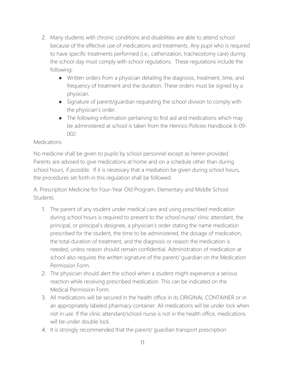- 2. Many students with chronic conditions and disabilities are able to attend school because of the effective use of medications and treatments. Any pupil who is required to have specific treatments performed (i.e., catherization, tracheostomy care) during the school day must comply with school regulations. These regulations include the following:
	- Written orders from a physician detailing the diagnosis, treatment, time, and frequency of treatment and the duration. These orders must be signed by a physician.
	- Signature of parent/guardian requesting the school division to comply with the physician's order.
	- The following information pertaining to first aid and medications which may be administered at school is taken from the Henrico Policies Handbook 6-09-  $002$

### **Medications**

No medicine shall be given to pupils by school personnel except as herein provided. Parents are advised to give medications at home and on a schedule other than during school hours, if possible. If it is necessary that a mediation be given during school hours, the procedures set forth in this regulation shall be followed.

A. Prescription Medicine for Four-Year Old Program, Elementary and Middle School Students

- 1. The parent of any student under medical care and using prescribed medication during school hours is required to present to the school nurse/ clinic attendant, the principal, or principal's designee, a physician's order stating the name medication prescribed for the student, the time to be administered, the dosage of medication, the total duration of treatment, and the diagnosis or reason the medication is needed, unless reason should remain confidential. Administration of medication at school also requires the written signature of the parent/ guardian on the Medication Permission Form.
- 2. The physician should alert the school when a student might experience a serious reaction while receiving prescribed medication. This can be indicated on the Medical Permission Form.
- 3. All medications will be secured in the health office in its ORIGINAL CONTAINER or in an appropriately labeled pharmacy container. All medications will be under lock when not in use. If the clinic attendant/school nurse is not in the health office, medications will be under double lock.
- 4. It is strongly recommended that the parent/ guardian transport prescription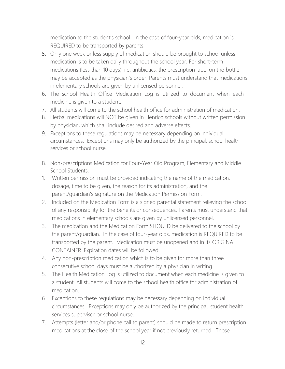medication to the student's school. In the case of four-year olds, medication is REQUIRED to be transported by parents.

- 5. Only one week or less supply of medication should be brought to school unless medication is to be taken daily throughout the school year. For short-term medications (less than 10 days), i.e. antibiotics, the prescription label on the bottle may be accepted as the physician's order. Parents must understand that medications in elementary schools are given by unlicensed personnel.
- 6. The school Health Office Medication Log is utilized to document when each medicine is given to a student.
- 7. All students will come to the school health office for administration of medication.
- 8. Herbal medications will NOT be given in Henrico schools without written permission by physician, which shall include desired and adverse effects.
- 9. Exceptions to these regulations may be necessary depending on individual circumstances. Exceptions may only be authorized by the principal, school health services or school nurse.
- B. Non-prescriptions Medication for Four-Year Old Program, Elementary and Middle School Students.
- 1. Written permission must be provided indicating the name of the medication, dosage, time to be given, the reason for its administration, and the parent/guardian's signature on the Medication Permission Form.
- 2. Included on the Medication Form is a signed parental statement relieving the school of any responsibility for the benefits or consequences. Parents must understand that medications in elementary schools are given by unlicensed personnel.
- 3. The medication and the Medication Form SHOULD be delivered to the school by the parent/guardian. In the case of four-year olds, medication is REQUIRED to be transported by the parent. Medication must be unopened and in its ORIGINAL CONTAINER. Expiration dates will be followed.
- 4. Any non-prescription medication which is to be given for more than three consecutive school days must be authorized by a physician in writing.
- 5. The Health Medication Log is utilized to document when each medicine is given to a student. All students will come to the school health office for administration of medication.
- 6. Exceptions to these regulations may be necessary depending on individual circumstances. Exceptions may only be authorized by the principal, student health services supervisor or school nurse.
- 7. Attempts (letter and/or phone call to parent) should be made to return prescription medications at the close of the school year if not previously returned. Those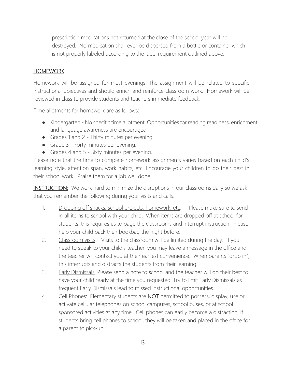prescription medications not returned at the close of the school year will be destroyed. No medication shall ever be dispersed from a bottle or container which is not properly labeled according to the label requirement outlined above.

## HOMEWORK

Homework will be assigned for most evenings. The assignment will be related to specific instructional objectives and should enrich and reinforce classroom work. Homework will be reviewed in class to provide students and teachers immediate feedback.

Time allotments for homework are as follows:

- Kindergarten No specific time allotment. Opportunities for reading readiness, enrichment and language awareness are encouraged.
- Grades 1 and 2 Thirty minutes per evening.
- Grade 3 Forty minutes per evening.
- Grades 4 and 5 Sixty minutes per evening.

Please note that the time to complete homework assignments varies based on each child's learning style, attention span, work habits, etc. Encourage your children to do their best in their school work. Praise them for a job well done.

INSTRUCTION: We work hard to minimize the disruptions in our classrooms daily so we ask that you remember the following during your visits and calls:

- 1. Dropping off snacks, school projects, homework, etc. Please make sure to send in all items to school with your child. When items are dropped off at school for students, this requires us to page the classrooms and interrupt instruction. Please help your child pack their bookbag the night before.
- 2. Classroom visits Visits to the classroom will be limited during the day. If you need to speak to your child's teacher, you may leave a message in the office and the teacher will contact you at their earliest convenience. When parents "drop in", this interrupts and distracts the students from their learning.
- 3. Early Dismissals: Please send a note to school and the teacher will do their best to have your child ready at the time you requested. Try to limit Early Dismissals as frequent Early Dismissals lead to missed instructional opportunities.
- 4. Cell Phones: Elementary students are **NOT** permitted to possess, display, use or activate cellular telephones on school campuses, school buses, or at school sponsored activities at any time. Cell phones can easily become a distraction. If students bring cell phones to school, they will be taken and placed in the office for a parent to pick-up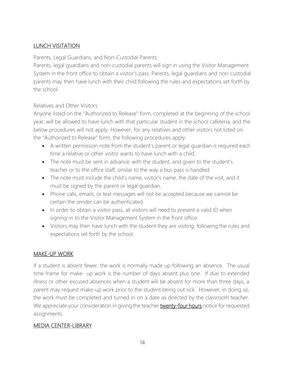## LUNCH VISITATION

Parents, Legal Guardians, and Non-Custodial Parents:

Parents, legal guardians and non-custodial parents will sign in using the Visitor Management System in the front office to obtain a visitor's pass. Parents, legal guardians and non-custodial parents may then have lunch with their child following the rules and expectations set forth by the school.

Relatives and Other Visitors:

Anyone listed on the "Authorized to Release" form, completed at the beginning of the school year, will be allowed to have lunch with that particular student in the school cafeteria, and the below procedures will not apply. However, for any relatives and other visitors not listed on the "Authorized to Release" form, the following procedures apply:

- A written permission note from the student's parent or legal guardian is required each time a relative or other visitor wants to have lunch with a child.
- The note must be sent in advance, with the student, and given to the student's teacher or to the office staff, similar to the way a bus pass is handled.
- The note must include the child's name, visitor's name, the date of the visit, and it must be signed by the parent or legal guardian.
- Phone calls, emails, or text messages will not be accepted because we cannot be certain the sender can be authenticated.
- In order to obtain a visitor pass, all visitors will need to present a valid ID when signing-in to the Visitor Management System in the front office.
- Visitors may then have lunch with the student they are visiting, following the rules and expectations set forth by the school.

## MAKE-UP WORK

If a student is absent fewer, the work is normally made up following an absence. The usual time frame for make- up work is the number of days absent plus one. If due to extended illness or other excused absences when a student will be absent for more than three days, a parent may request make-up work prior to the student being out sick. However, in doing so, the work must be completed and turned in on a date as directed by the classroom teacher. We appreciate your consideration in giving the teacher **twenty-four hours** notice for requested assignments.

### MEDIA CENTER-LIBRARY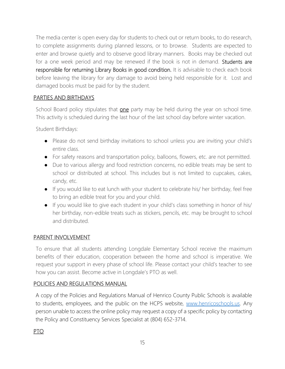The media center is open every day for students to check out or return books, to do research, to complete assignments during planned lessons, or to browse. Students are expected to enter and browse quietly and to observe good library manners. Books may be checked out for a one week period and may be renewed if the book is not in demand. Students are responsible for returning Library Books in good condition. It is advisable to check each book before leaving the library for any damage to avoid being held responsible for it. Lost and damaged books must be paid for by the student.

## PARTIES AND BIRTHDAYS

School Board policy stipulates that one party may be held during the year on school time. This activity is scheduled during the last hour of the last school day before winter vacation.

Student Birthdays:

- Please do not send birthday invitations to school unless you are inviting your child's entire class.
- For safety reasons and transportation policy, balloons, flowers, etc. are not permitted.
- Due to various allergy and food restriction concerns, no edible treats may be sent to school or distributed at school. This includes but is not limited to cupcakes, cakes, candy, etc.
- If you would like to eat lunch with your student to celebrate his/ her birthday, feel free to bring an edible treat for you and your child.
- If you would like to give each student in your child's class something in honor of his/ her birthday, non-edible treats such as stickers, pencils, etc. may be brought to school and distributed.

### PARENT INVOLVEMENT

To ensure that all students attending Longdale Elementary School receive the maximum benefits of their education, cooperation between the home and school is imperative. We request your support in every phase of school life. Please contact your child's teacher to see how you can assist. Become active in Longdale's PTO as well.

### POLICIES AND REGULATIONS MANUAL

A copy of the Policies and Regulations Manual of Henrico County Public Schools is available to students, employees, and the public on the HCPS website, [www.henricoschools.us.](http://www.henricoschools.us/) Any person unable to access the online policy may request a copy of a specific policy by contacting the Policy and Constituency Services Specialist at (804) 652-3714.

## PTO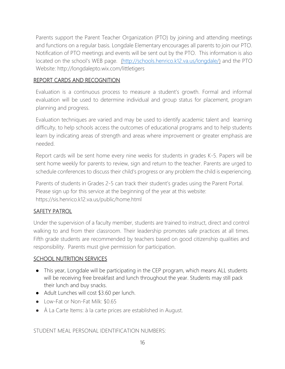Parents support the Parent Teacher Organization (PTO) by joining and attending meetings and functions on a regular basis. Longdale Elementary encourages all parents to join our PTO. Notification of PTO meetings and events will be sent out by the PTO. This information is also located on the school's WEB page. [\(](http://www.henrico.k12.va.us/es/Long-)[http://schools.henrico.k12.va.us/longdale/\)](http://schools.henrico.k12.va.us/longdale/) and the PTO Website: http://longdalepto.wix.com/littletigers

#### REPORT CARDS AND RECOGNITION

Evaluation is a continuous process to measure a student's growth. Formal and informal evaluation will be used to determine individual and group status for placement, program planning and progress.

Evaluation techniques are varied and may be used to identify academic talent and learning difficulty, to help schools access the outcomes of educational programs and to help students learn by indicating areas of strength and areas where improvement or greater emphasis are needed.

Report cards will be sent home every nine weeks for students in grades K-5. Papers will be sent home weekly for parents to review, sign and return to the teacher. Parents are urged to schedule conferences to discuss their child's progress or any problem the child is experiencing.

Parents of students in Grades 2-5 can track their student's grades using the Parent Portal. Please sign up for this service at the beginning of the year at this website: https://sis.henrico.k12.va.us/public/home.html

#### SAFETY PATROL

Under the supervision of a faculty member, students are trained to instruct, direct and control walking to and from their classroom. Their leadership promotes safe practices at all times. Fifth grade students are recommended by teachers based on good citizenship qualities and responsibility. Parents must give permission for participation.

#### SCHOOL NUTRITION SERVICES

- This year, Longdale will be participating in the CEP program, which means ALL students will be receiving free breakfast and lunch throughout the year. Students may still pack their lunch and buy snacks.
- Adult Lunches will cost \$3.60 per lunch.
- Low-Fat or Non-Fat Milk: \$0.65
- À La Carte Items: à la carte prices are established in August.

STUDENT MEAL PERSONAL IDENTIFICATION NUMBERS: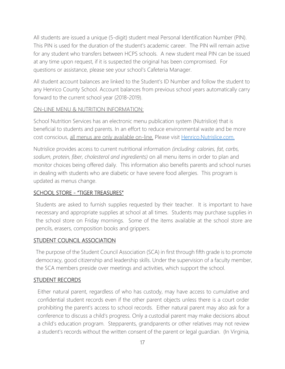All students are issued a unique (5-digit) student meal Personal Identification Number (PIN). This PIN is used for the duration of the student's academic career. The PIN will remain active for any student who transfers between HCPS schools. A new student meal PIN can be issued at any time upon request, if it is suspected the original has been compromised. For questions or assistance, please see your school's Cafeteria Manager.

All student account balances are linked to the Student's ID Number and follow the student to any Henrico County School. Account balances from previous school years automatically carry forward to the current school year (2018-2019).

### ON-LINE MENU & NUTRITION INFORMATION:

School Nutrition Services has an electronic menu publication system (Nutrislice) that is beneficial to students and parents. In an effort to reduce environmental waste and be more cost conscious, all menus are only available on-line. Please visit [Henrico.Nutrislice.com.](http://www.henrico.nutrislice.com/)

Nutrislice provides access to current nutritional information *(including: calories, fat, carbs, sodium, protein, fiber, cholesterol and ingredients)* on all menu items in order to plan and monitor choices being offered daily. This information also benefits parents and school nurses in dealing with students who are diabetic or have severe food allergies. This program is updated as menus change.

### SCHOOL STORE - "TIGER TREASURES"

Students are asked to furnish supplies requested by their teacher. It is important to have necessary and appropriate supplies at school at all times. Students may purchase supplies in the school store on Friday mornings. Some of the items available at the school store are pencils, erasers, composition books and grippers.

#### STUDENT COUNCIL ASSOCIATION

The purpose of the Student Council Association (SCA) in first through fifth grade is to promote democracy, good citizenship and leadership skills. Under the supervision of a faculty member, the SCA members preside over meetings and activities, which support the school.

#### STUDENT RECORDS

Either natural parent, regardless of who has custody, may have access to cumulative and confidential student records even if the other parent objects unless there is a court order prohibiting the parent's access to school records. Either natural parent may also ask for a conference to discuss a child's progress. Only a custodial parent may make decisions about a child's education program. Stepparents, grandparents or other relatives may not review a student's records without the written consent of the parent or legal guardian. (In Virginia,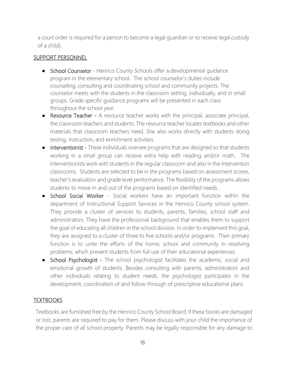a court order is required for a person to become a legal guardian or to receive legal custody of a child).

#### SUPPORT PERSONNEL

- School Counselor Henrico County Schools offer a developmental quidance program in the elementary school. The school counselor's duties include counseling, consulting and coordinating school and community projects. The counselor meets with the students in the classroom setting, individually, and in small groups. Grade specific guidance programs will be presented in each class throughout the school year.
- Resource Teacher A resource teacher works with the principal, associate principal, the classroom teachers and students. The resource teacher locates textbooks and other materials that classroom teachers need. She also works directly with students doing testing, instruction, and enrichment activities.
- Interventionist These individuals oversee programs that are designed so that students working in a small group can receive extra help with reading and/or math. The interventionists work with students in the regular classroom and also in the Intervention classrooms. Students are selected to be in the programs based on assessment scores, teacher's evaluation and grade level performance. The flexibility of the programs allows students to move in and out of the programs based on identified needs.
- School Social Worker Social workers have an important function within the department of Instructional Support Services in the Henrico County school system. They provide a cluster of services to students, parents, families, school staff and administrators. They have the professional background that enables them to support the goal of educating all children in the school division. In order to implement this goal, they are assigned to a cluster of three to five schools and/or programs. Their primary function is to unite the efforts of the home, school and community in resolving problems, which prevent students from full use of their educational experiences.
- School Psychologist The school psychologist facilitates the academic, social and emotional growth of students. Besides consulting with parents, administrators and other individuals relating to student needs, the psychologist participates in the development, coordination of and follow-through of prescriptive educational plans

### **TEXTBOOKS**

Textbooks are furnished free by the Henrico County School Board. If these books are damaged or lost, parents are required to pay for them. Please discuss with your child the importance of the proper care of all school property. Parents may be legally responsible for any damage to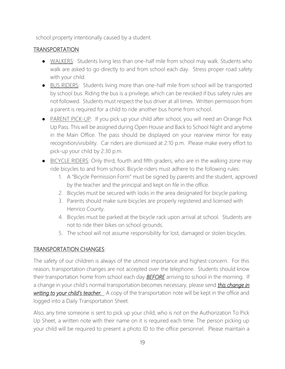school property intentionally caused by a student.

## **TRANSPORTATION**

- WALKERS: Students living less than one-half mile from school may walk. Students who walk are asked to go directly to and from school each day. Stress proper road safety with your child.
- BUS RIDERS: Students living more than one-half mile from school will be transported by school bus. Riding the bus is a privilege, which can be revoked if bus safety rules are not followed. Students must respect the bus driver at all times. Written permission from a parent is required for a child to ride another bus home from school.
- PARENT PICK-UP: If you pick up your child after school, you will need an Orange Pick Up Pass. This will be assigned during Open House and Back to School Night and anytime in the Main Office. The pass should be displayed on your rearview mirror for easy recognition/visibility. Car riders are dismissed at 2:10 p.m. Please make every effort to pick-up your child by 2:30 p.m.
- BICYCLE RIDERS: Only third, fourth and fifth graders, who are in the walking zone may ride bicycles to and from school. Bicycle riders must adhere to the following rules:
	- 1. A "Bicycle Permission Form" must be signed by parents and the student, approved by the teacher and the principal and kept on file in the office.
	- 2. Bicycles must be secured with locks in the area designated for bicycle parking.
	- 3. Parents should make sure bicycles are properly registered and licensed with Henrico County.
	- 4. Bicycles must be parked at the bicycle rack upon arrival at school. Students are not to ride their bikes on school grounds.
	- 5. The school will not assume responsibility for lost, damaged or stolen bicycles.

### TRANSPORTATION CHANGES:

The safety of our children is always of the utmost importance and highest concern. For this reason, transportation changes are not accepted over the telephone. Students should know their transportation home from school each day *BEFORE* arriving to school in the morning. If a change in your child's normal transportation becomes necessary, please send *this change in writing to your child's teacher.* A copy of the transportation note will be kept in the office and logged into a Daily Transportation Sheet.

Also, any time someone is sent to pick up your child, who is not on the Authorization To Pick Up Sheet, a written note with their name on it is required each time. The person picking up your child will be required to present a photo ID to the office personnel. Please maintain a